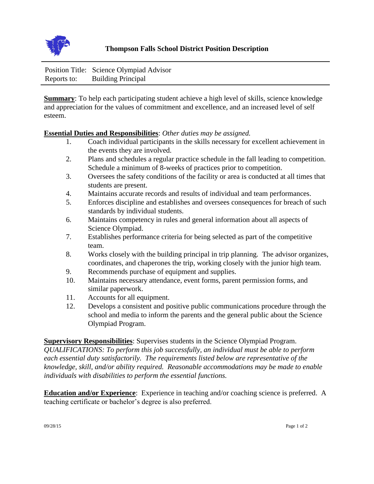

|             | Position Title: Science Olympiad Advisor |
|-------------|------------------------------------------|
| Reports to: | <b>Building Principal</b>                |

**Summary**: To help each participating student achieve a high level of skills, science knowledge and appreciation for the values of commitment and excellence, and an increased level of self esteem.

## **Essential Duties and Responsibilities**: *Other duties may be assigned.*

- 1. Coach individual participants in the skills necessary for excellent achievement in the events they are involved.
- 2. Plans and schedules a regular practice schedule in the fall leading to competition. Schedule a minimum of 8-weeks of practices prior to competition.
- 3. Oversees the safety conditions of the facility or area is conducted at all times that students are present.
- 4. Maintains accurate records and results of individual and team performances.
- 5. Enforces discipline and establishes and oversees consequences for breach of such standards by individual students.
- 6. Maintains competency in rules and general information about all aspects of Science Olympiad.
- 7. Establishes performance criteria for being selected as part of the competitive team.
- 8. Works closely with the building principal in trip planning. The advisor organizes, coordinates, and chaperones the trip, working closely with the junior high team.
- 9. Recommends purchase of equipment and supplies.
- 10. Maintains necessary attendance, event forms, parent permission forms, and similar paperwork.
- 11. Accounts for all equipment.
- 12. Develops a consistent and positive public communications procedure through the school and media to inform the parents and the general public about the Science Olympiad Program.

**Supervisory Responsibilities**: Supervises students in the Science Olympiad Program. *QUALIFICATIONS: To perform this job successfully, an individual must be able to perform each essential duty satisfactorily. The requirements listed below are representative of the knowledge, skill, and/or ability required. Reasonable accommodations may be made to enable individuals with disabilities to perform the essential functions.* 

**Education and/or Experience**: Experience in teaching and/or coaching science is preferred. A teaching certificate or bachelor's degree is also preferred.